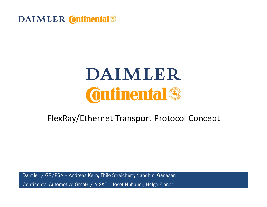

#### FlexRay/Ethernet Transport Protocol Concept

Daimler / GR/PSA – Andreas Kern, Thilo Streichert, Nandhini GanesanContinental Automotive GmbH / A S&T – Josef Nöbauer, Helge Zinner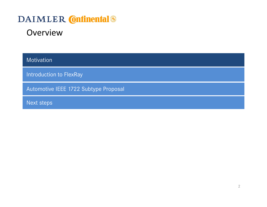#### **Overview**

Motivation

Introduction to FlexRay

Automotive IEEE 1722 Subtype Proposal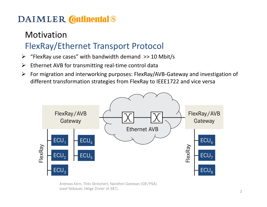## MotivationFlexRay/Ethernet Transport Protocol

- ➤ "FlexRay use cases" with bandwidth demand >> 10 Mbit/s
- $\blacktriangleright$ Ethernet AVB for transmitting real-time control data
- $\blacktriangleright$  For migration and interworking purposes: FlexRay/AVB-Gateway and investigation of different transformation strategies from FlexRay to IEEE1722 and vice versa

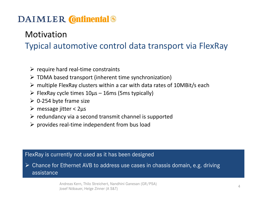#### Motivation

Typical automotive control data transport via FlexRay

- $\triangleright$  require hard real-time constraints
- > TDMA based transport (inherent time synchronization)
- > multiple FlexRay clusters within a car with data rates of 10MBit/s each
- FlexRay cycle times 10µs 16ms (5ms typically)
- $\geq 0$ -254 byte frame size
- message jitter < 2µs
- $\triangleright$  redundancy via a second transmit channel is supported
- $\triangleright$  provides real-time independent from bus load

#### FlexRay is currently not used as it has been designed

 Chance for Ethernet AVB to address use cases in chassis domain, e.g. driving assistance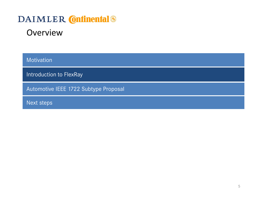#### **Overview**

Motivation

Introduction to FlexRay

Automotive IEEE 1722 Subtype Proposal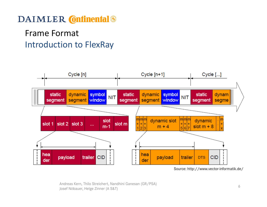## Frame FormatIntroduction to FlexRay



Source: http://www.vector-informatik.de/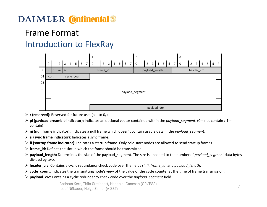## Frame FormatIntroduction to FlexRay



- $\triangleright$  **r (reserved):** Reserved for future use. (set to 0<sub>2</sub>)
- $\triangleright$  pi (payload preamble indicator): Indicates an optional vector contained within the payload\_segment. (0 not contain / 1 notain / 1 notain / 1 notain / 1 notain / 1 notain / 1 notain / 1 notain / 1 contain)
- ► ni (null frame indicator): Indicates a null frame which doesn't contain usable data in the *payload\_segment*.
- $\triangleright$  si (sync frame indicator): Indicates a sync frame.
- ► fi (startup frame indicator): Indicates a startup frame. Only cold start nodes are allowed to send startup frames.<br>.
- $\triangleright$  frame\_id: Defines the slot in which the frame should be transmitted.
- ► payload\_length: Determines the size of the payload\_segment. The size is encoded to the number of payload\_segment data bytes<br>mativided by type divided by two.
- ► header\_crc: Contains a cyclic redundancy check code over the fields si, fi, frame\_id, and payload\_length.<br>.
- ► cycle\_count: Indicates the transmitting node's view of the value of the cycle counter at the time of frame transmission.
- $\triangleright$  payload\_crc: Contains a cyclic redundancy check code over the payload\_segment field.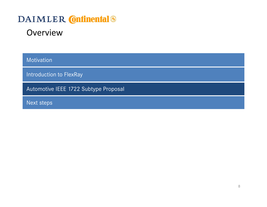#### **Overview**

Motivation

Introduction to FlexRay

Automotive IEEE 1722 Subtype Proposal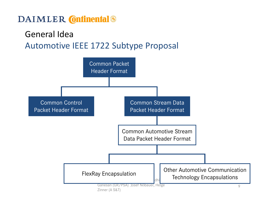## General Idea

## Automotive IEEE 1722 Subtype Proposal

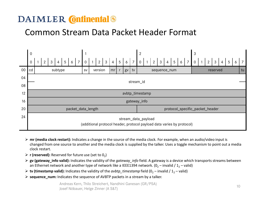#### Common Stream Data Packet Header Format



- $\triangleright$  mr (media clock restart): Indicates a change in the source of the media clock. For example, when an audio/video input is  $\triangleright$  and the media clock is supplied by the talker. Uses a taggle mechanism to neint out changed from one source to another and the media clock is supplied by the talker. Uses a toggle mechanism to point out a media clock restart.
- $\triangleright$  **r (reserved):** Reserved for future use (set to 0<sub>2</sub>)
- $\triangleright$  gv (gateway\_info valid): Indicates the validity of the *gateway\_info* field. A gateway is a device which transports streams between an Ethernat paturals of paturals like a IEEE1304 paturals (0 simplid) (1 sualid) an Ethernet network and another type of network like a IEEE1394 network. (0<sub>2</sub> – invalid / 1<sub>2</sub> – valid)
- $\triangleright$  tv (timestamp valid): Indicates the validity of the *avbtp\_timestamp* field (0<sub>2</sub> invalid / 1<sub>2</sub> valid)
- ▶ **sequence\_num:** Indicates the sequence of AVBTP packets in a stream by a talker.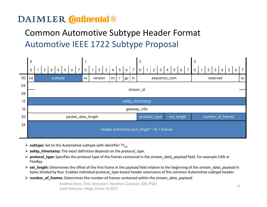## Common Automotive Subtype Header Format Automotive IEEE 1722 Subtype Proposal



- $\triangleright$  subtype: Set to the Automotive subtype with identifier ?? $_{16}$ .
- $\triangleright$  avbtp\_timestamp: The exact definition depends on the protocol\_type.
- ► protocol\_type: Specifies the protocol type of the frames contained in the stream\_data\_payload field. For example CAN or<br>FlaxBax FlexRay.
- **Ext\_length:** Determines the offset of the first frame in the payload field relative to the beginning of the stream\_data\_payload in  $\triangleright$  ext\_length: Determines the offset of the first frame in the payload field relative bytes divided by four. Enables individual protocol type-based header extensions of the common Automotive subtype header.
- ▶ number\_of\_frames: Determines the number of frames contained within the stream\_data\_payload.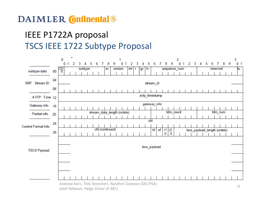## IEEE P1722A proposalTSCS IEEE 1722 Subtype Proposal

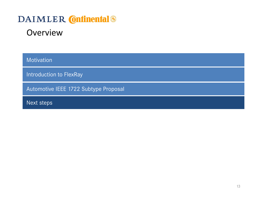#### **Overview**

Motivation

Introduction to FlexRay

Automotive IEEE 1722 Subtype Proposal